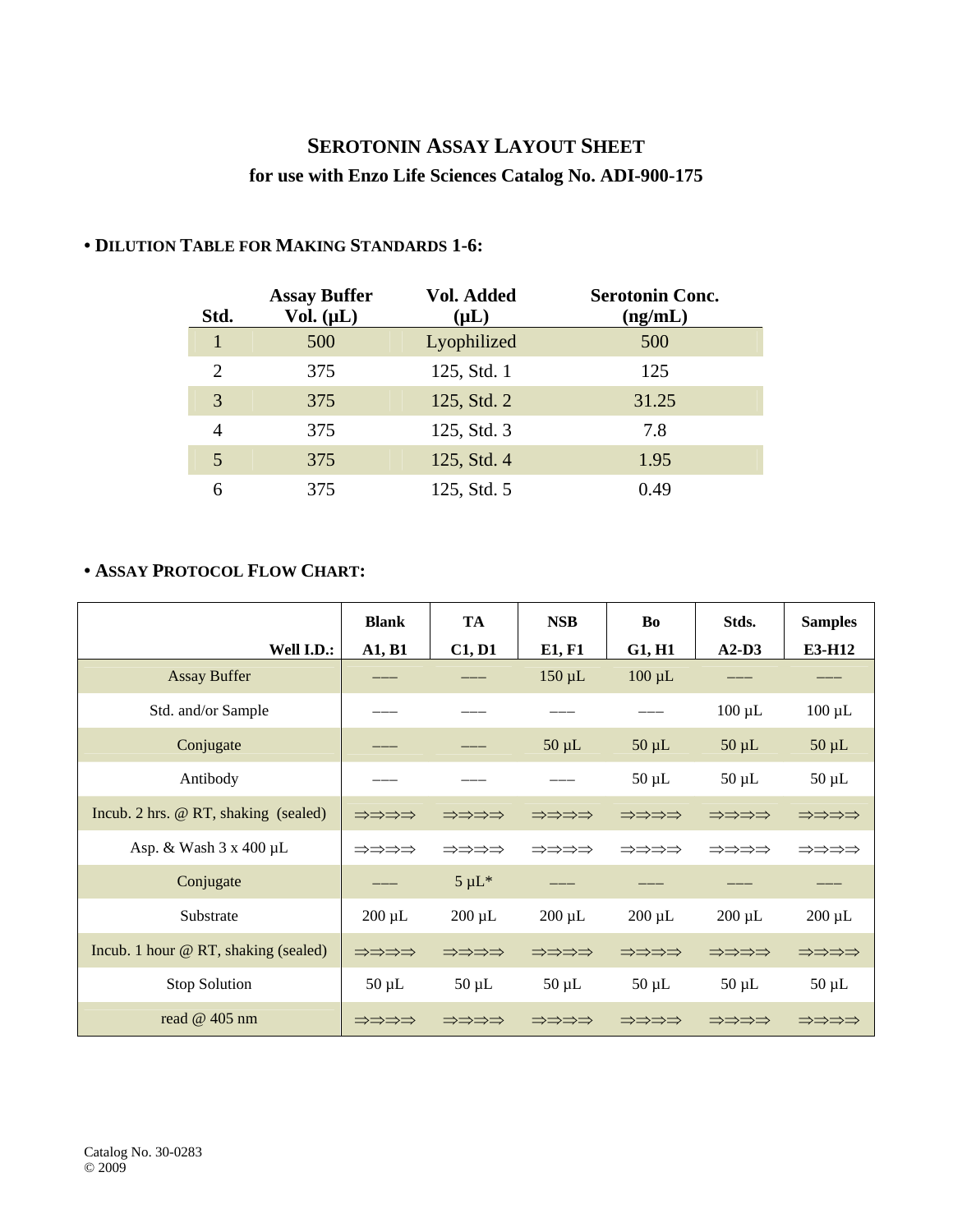## **SEROTONIN ASSAY LAYOUT SHEET for use with Enzo Life Sciences Catalog No. ADI-900-175**

| Std.           | <b>Assay Buffer</b><br>Vol. $(\mu L)$ | Vol. Added<br>$(\mu L)$ | <b>Serotonin Conc.</b><br>(ng/mL) |
|----------------|---------------------------------------|-------------------------|-----------------------------------|
| 1              | 500                                   | Lyophilized             | 500                               |
| $\overline{2}$ | 375                                   | 125, Std. 1             | 125                               |
| 3              | 375                                   | 125, Std. 2             | 31.25                             |
| 4              | 375                                   | 125, Std. 3             | 7.8                               |
| 5              | 375                                   | 125, Std. 4             | 1.95                              |
| 6              | 375                                   | 125, Std. 5             | 0.49                              |

## **• DILUTION TABLE FOR MAKING STANDARDS 1-6:**

## **• ASSAY PROTOCOL FLOW CHART:**

|                                      | <b>Blank</b> | <b>TA</b>   | <b>NSB</b>  | Bo          | Stds.       | <b>Samples</b> |
|--------------------------------------|--------------|-------------|-------------|-------------|-------------|----------------|
| Well I.D.:                           | A1, B1       | C1, D1      | E1, F1      | G1, H1      | $A2-D3$     | E3-H12         |
| <b>Assay Buffer</b>                  |              |             | $150 \mu L$ | $100 \mu L$ |             |                |
| Std. and/or Sample                   |              |             |             |             | $100 \mu L$ | $100 \mu L$    |
| Conjugate                            |              |             | $50 \mu L$  | $50 \mu L$  | $50 \mu L$  | $50 \mu L$     |
| Antibody                             |              |             |             | $50 \mu L$  | $50 \mu L$  | $50 \mu L$     |
| Incub. 2 hrs. @ RT, shaking (sealed) | ⇒⇒⇒⇒         | ⇒⇒⇒⇒        | ⇒⇒⇒⇒        | ⇒⇒⇒⇒        | ⇒⇒⇒⇒        | ⇒⇒⇒⇒           |
| Asp. & Wash $3 \times 400 \mu L$     | ⇒⇒⇒⇒         | ⇒⇒⇒⇒        | ⇒⇒⇒⇒        | ⇒⇒⇒⇒        | ⇒⇒⇒⇒        | ⇒⇒⇒⇒           |
| Conjugate                            |              | $5 \mu L^*$ |             |             |             |                |
| Substrate                            | $200 \mu L$  | $200 \mu L$ | $200 \mu L$ | $200 \mu L$ | $200 \mu L$ | $200 \mu L$    |
| Incub. 1 hour @ RT, shaking (sealed) | ⇒⇒⇒⇒         | ⇒⇒⇒⇒        | ⇒⇒⇒⇒        | ⇒⇒⇒⇒        | ⇒⇒⇒⇒        | ⇒⇒⇒⇒           |
| Stop Solution                        | $50 \mu L$   | $50 \mu L$  | $50 \mu L$  | $50 \mu L$  | $50 \mu L$  | $50 \mu L$     |
| read $@$ 405 nm                      | ⇒⇒⇒⇒         | ⇒⇒⇒⇒        | ⇒⇒⇒⇒        | ⇒⇒⇒⇒        | ⇒⇒⇒⇒        | ⇒⇒⇒⇒           |